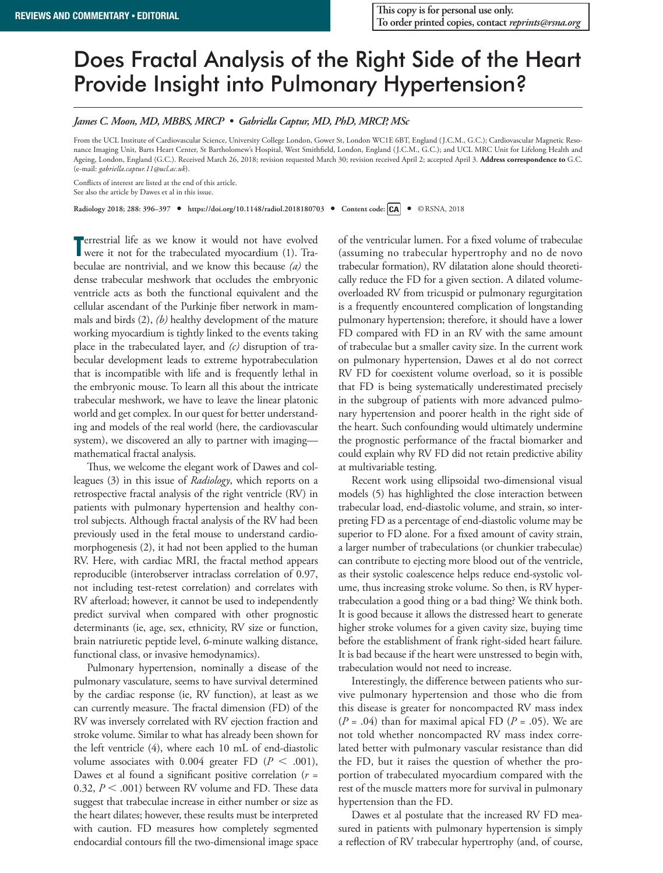## Does Fractal Analysis of the Right Side of the Heart Provide Insight into Pulmonary Hypertension?

*James C. Moon, MD, MBBS, MRCP • Gabriella Captur, MD, PhD, MRCP, MSc*

From the UCL Institute of Cardiovascular Science, University College London, Gower St, London WC1E 6BT, England (J.C.M., G.C.); Cardiovascular Magnetic Resonance Imaging Unit, Barts Heart Center, St Bartholomew's Hospital, West Smithfield, London, England (J.C.M., G.C.); and UCL MRC Unit for Lifelong Health and Ageing, London, England (G.C.). Received March 26, 2018; revision requested March 30; revision received April 2; accepted April 3. **Address correspondence to** G.C. (e-mail: *gabriella.captur.11@ucl.ac.uk*).

Conflicts of interest are listed at the end of this article.

See also the article by Dawes et al in this issue.

**Radiology 2018; 288: 396–397 • https://doi.org/10.1148/radiol.2018180703 • Content code: •** ©RSNA, 2018

**T** errestrial life as we know it would not have evolved were it not for the trabeculated myocardium (1). Trawere it not for the trabeculated myocardium (1). Trabeculae are nontrivial, and we know this because *(a)* the dense trabecular meshwork that occludes the embryonic ventricle acts as both the functional equivalent and the cellular ascendant of the Purkinje fiber network in mammals and birds (2), *(b)* healthy development of the mature working myocardium is tightly linked to the events taking place in the trabeculated layer, and *(c)* disruption of trabecular development leads to extreme hypotrabeculation that is incompatible with life and is frequently lethal in the embryonic mouse. To learn all this about the intricate trabecular meshwork, we have to leave the linear platonic world and get complex. In our quest for better understanding and models of the real world (here, the cardiovascular system), we discovered an ally to partner with imaging mathematical fractal analysis.

Thus, we welcome the elegant work of Dawes and colleagues (3) in this issue of *Radiology*, which reports on a retrospective fractal analysis of the right ventricle (RV) in patients with pulmonary hypertension and healthy control subjects. Although fractal analysis of the RV had been previously used in the fetal mouse to understand cardiomorphogenesis (2), it had not been applied to the human RV. Here, with cardiac MRI, the fractal method appears reproducible (interobserver intraclass correlation of 0.97, not including test-retest correlation) and correlates with RV afterload; however, it cannot be used to independently predict survival when compared with other prognostic determinants (ie, age, sex, ethnicity, RV size or function, brain natriuretic peptide level, 6-minute walking distance, functional class, or invasive hemodynamics).

Pulmonary hypertension, nominally a disease of the pulmonary vasculature, seems to have survival determined by the cardiac response (ie, RV function), at least as we can currently measure. The fractal dimension (FD) of the RV was inversely correlated with RV ejection fraction and stroke volume. Similar to what has already been shown for the left ventricle (4), where each 10 mL of end-diastolic volume associates with  $0.004$  greater FD ( $P < .001$ ), Dawes et al found a significant positive correlation (*r* = 0.32,  $P < .001$ ) between RV volume and FD. These data suggest that trabeculae increase in either number or size as the heart dilates; however, these results must be interpreted with caution. FD measures how completely segmented endocardial contours fill the two-dimensional image space

of the ventricular lumen. For a fixed volume of trabeculae (assuming no trabecular hypertrophy and no de novo trabecular formation), RV dilatation alone should theoretically reduce the FD for a given section. A dilated volumeoverloaded RV from tricuspid or pulmonary regurgitation is a frequently encountered complication of longstanding pulmonary hypertension; therefore, it should have a lower FD compared with FD in an RV with the same amount of trabeculae but a smaller cavity size. In the current work on pulmonary hypertension, Dawes et al do not correct RV FD for coexistent volume overload, so it is possible that FD is being systematically underestimated precisely in the subgroup of patients with more advanced pulmonary hypertension and poorer health in the right side of the heart. Such confounding would ultimately undermine the prognostic performance of the fractal biomarker and could explain why RV FD did not retain predictive ability at multivariable testing.

Recent work using ellipsoidal two-dimensional visual models (5) has highlighted the close interaction between trabecular load, end-diastolic volume, and strain, so interpreting FD as a percentage of end-diastolic volume may be superior to FD alone. For a fixed amount of cavity strain, a larger number of trabeculations (or chunkier trabeculae) can contribute to ejecting more blood out of the ventricle, as their systolic coalescence helps reduce end-systolic volume, thus increasing stroke volume. So then, is RV hypertrabeculation a good thing or a bad thing? We think both. It is good because it allows the distressed heart to generate higher stroke volumes for a given cavity size, buying time before the establishment of frank right-sided heart failure. It is bad because if the heart were unstressed to begin with, trabeculation would not need to increase.

Interestingly, the difference between patients who survive pulmonary hypertension and those who die from this disease is greater for noncompacted RV mass index  $(P = .04)$  than for maximal apical FD  $(P = .05)$ . We are not told whether noncompacted RV mass index correlated better with pulmonary vascular resistance than did the FD, but it raises the question of whether the proportion of trabeculated myocardium compared with the rest of the muscle matters more for survival in pulmonary hypertension than the FD.

Dawes et al postulate that the increased RV FD measured in patients with pulmonary hypertension is simply a reflection of RV trabecular hypertrophy (and, of course,